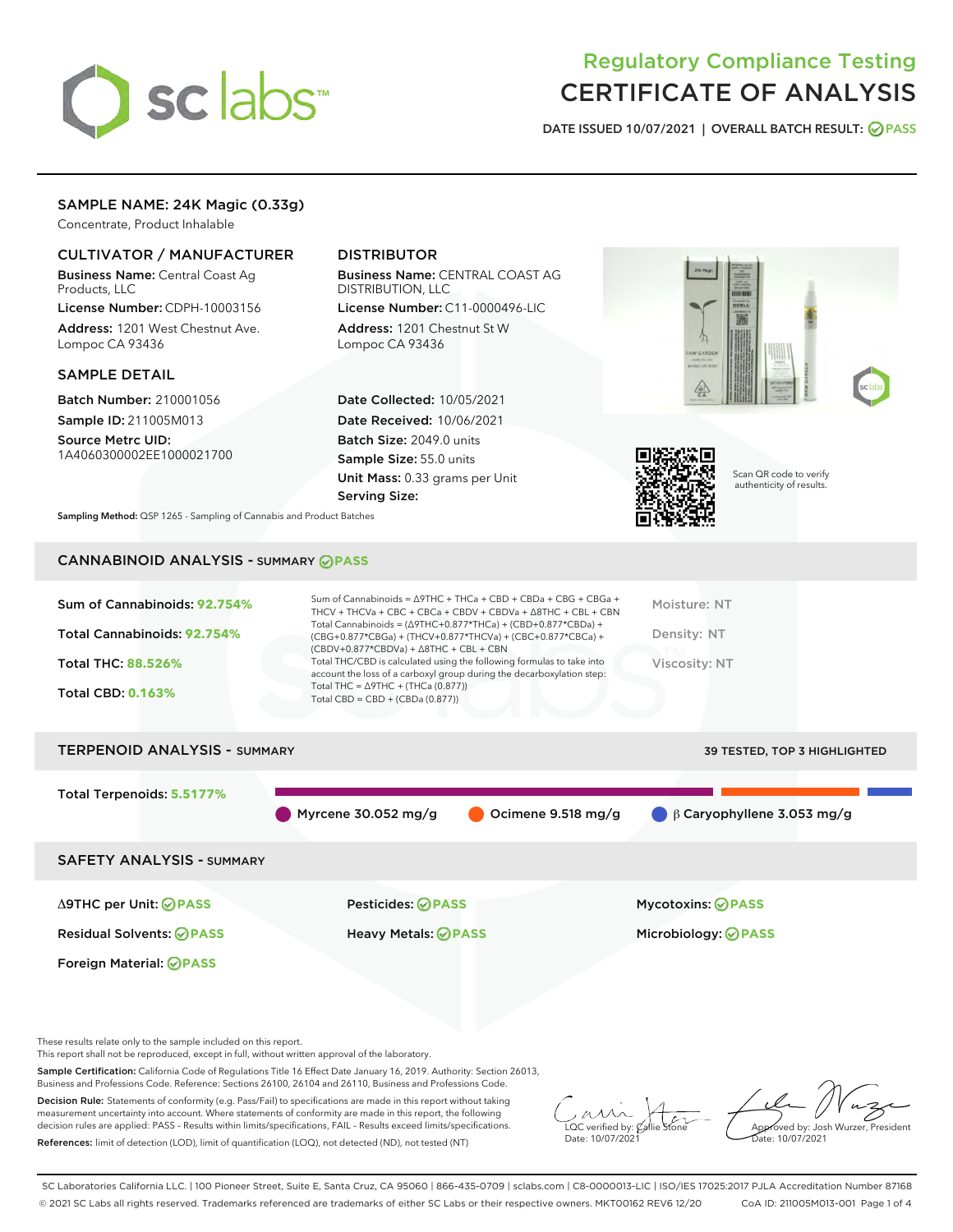

# Regulatory Compliance Testing CERTIFICATE OF ANALYSIS

DATE ISSUED 10/07/2021 | OVERALL BATCH RESULT: @ PASS

# SAMPLE NAME: 24K Magic (0.33g)

Concentrate, Product Inhalable

# CULTIVATOR / MANUFACTURER

Business Name: Central Coast Ag Products, LLC

License Number: CDPH-10003156 Address: 1201 West Chestnut Ave. Lompoc CA 93436

#### SAMPLE DETAIL

Batch Number: 210001056 Sample ID: 211005M013

Source Metrc UID: 1A4060300002EE1000021700

# DISTRIBUTOR

Business Name: CENTRAL COAST AG DISTRIBUTION, LLC License Number: C11-0000496-LIC

Address: 1201 Chestnut St W Lompoc CA 93436

Date Collected: 10/05/2021 Date Received: 10/06/2021 Batch Size: 2049.0 units Sample Size: 55.0 units Unit Mass: 0.33 grams per Unit Serving Size:





Scan QR code to verify authenticity of results.

Sampling Method: QSP 1265 - Sampling of Cannabis and Product Batches

# CANNABINOID ANALYSIS - SUMMARY **PASS**

| Sum of Cannabinoids: 92.754%<br>Total Cannabinoids: 92.754%<br>Total THC: 88.526%<br><b>Total CBD: 0.163%</b> | Sum of Cannabinoids = $\triangle$ 9THC + THCa + CBD + CBDa + CBG + CBGa +<br>THCV + THCVa + CBC + CBCa + CBDV + CBDVa + $\Delta$ 8THC + CBL + CBN<br>Total Cannabinoids = $(\Delta$ 9THC+0.877*THCa) + (CBD+0.877*CBDa) +<br>$(CBG+0.877*CBGa) + (THCV+0.877*THCVa) + (CBC+0.877*CBCa) +$<br>$(CBDV+0.877*CBDVa) + \Delta 8THC + CBL + CBN$<br>Total THC/CBD is calculated using the following formulas to take into<br>account the loss of a carboxyl group during the decarboxylation step:<br>Total THC = $\triangle$ 9THC + (THCa (0.877))<br>Total CBD = $CBD + (CBDa (0.877))$ | Moisture: NT<br>Density: NT<br>Viscosity: NT |
|---------------------------------------------------------------------------------------------------------------|--------------------------------------------------------------------------------------------------------------------------------------------------------------------------------------------------------------------------------------------------------------------------------------------------------------------------------------------------------------------------------------------------------------------------------------------------------------------------------------------------------------------------------------------------------------------------------------|----------------------------------------------|
| <b>TERPENOID ANALYSIS - SUMMARY</b>                                                                           |                                                                                                                                                                                                                                                                                                                                                                                                                                                                                                                                                                                      | <b>39 TESTED, TOP 3 HIGHLIGHTED</b>          |
| Total Terpenoids: 5.5177%                                                                                     | Myrcene $30.052$ mg/g<br>Ocimene 9.518 mg/g                                                                                                                                                                                                                                                                                                                                                                                                                                                                                                                                          | $\bigcirc$ $\beta$ Caryophyllene 3.053 mg/g  |
| <b>SAFETY ANALYSIS - SUMMARY</b>                                                                              |                                                                                                                                                                                                                                                                                                                                                                                                                                                                                                                                                                                      |                                              |

Residual Solvents: **PASS** Heavy Metals: **PASS** Microbiology: **PASS**

Foreign Material: **PASS**

Δ9THC per Unit: **PASS** Pesticides: **PASS** Mycotoxins: **PASS**

These results relate only to the sample included on this report.

This report shall not be reproduced, except in full, without written approval of the laboratory.

Sample Certification: California Code of Regulations Title 16 Effect Date January 16, 2019. Authority: Section 26013, Business and Professions Code. Reference: Sections 26100, 26104 and 26110, Business and Professions Code.

Decision Rule: Statements of conformity (e.g. Pass/Fail) to specifications are made in this report without taking measurement uncertainty into account. Where statements of conformity are made in this report, the following decision rules are applied: PASS – Results within limits/specifications, FAIL – Results exceed limits/specifications. References: limit of detection (LOD), limit of quantification (LOQ), not detected (ND), not tested (NT)

 $\overline{\text{LOC}}$  verified by:  $\mathcal{C}_i$ Date: 10/07/2021

Approved by: Josh Wurzer, President ate: 10/07/2021

SC Laboratories California LLC. | 100 Pioneer Street, Suite E, Santa Cruz, CA 95060 | 866-435-0709 | sclabs.com | C8-0000013-LIC | ISO/IES 17025:2017 PJLA Accreditation Number 87168 © 2021 SC Labs all rights reserved. Trademarks referenced are trademarks of either SC Labs or their respective owners. MKT00162 REV6 12/20 CoA ID: 211005M013-001 Page 1 of 4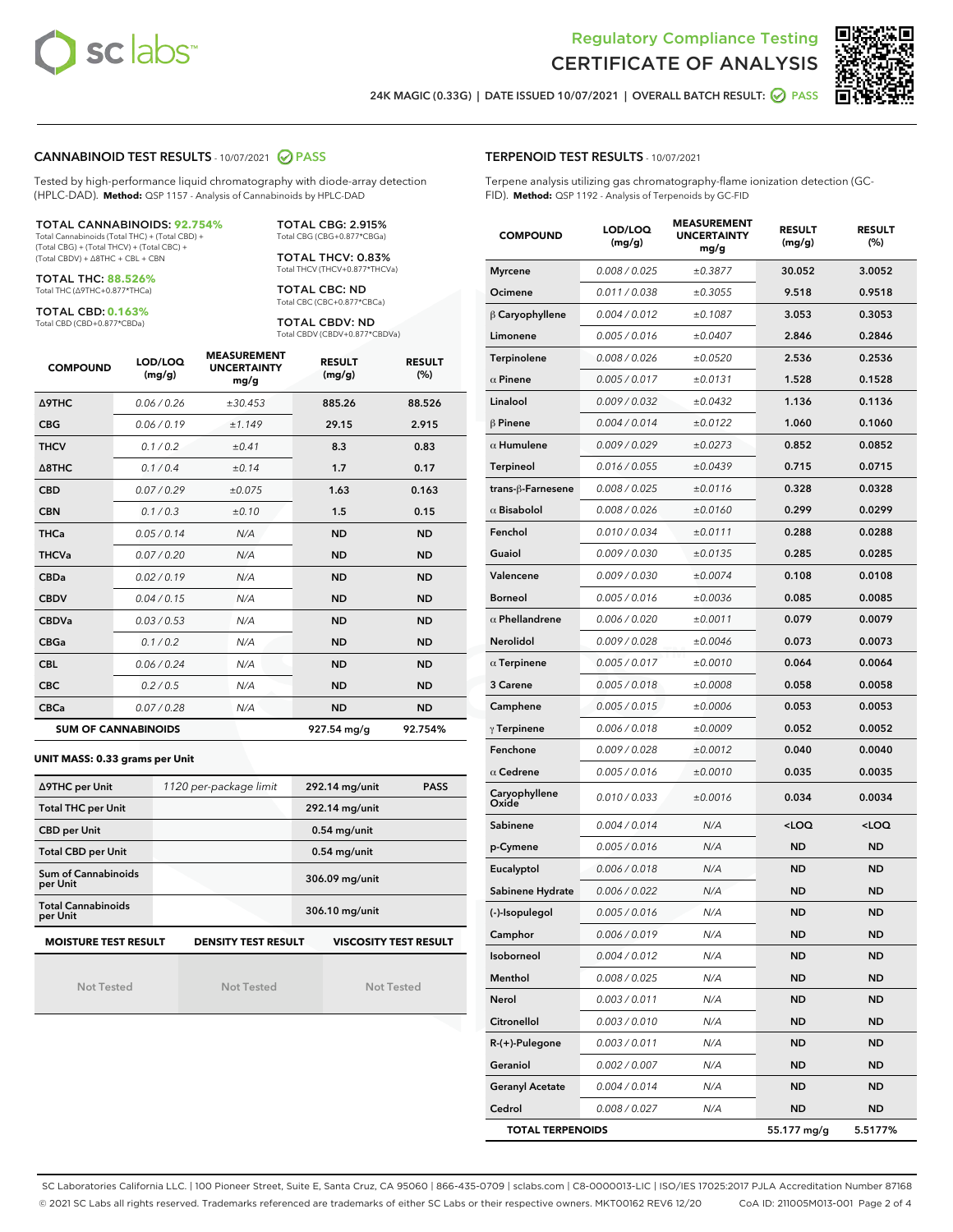



24K MAGIC (0.33G) | DATE ISSUED 10/07/2021 | OVERALL BATCH RESULT: ◯ PASS

#### CANNABINOID TEST RESULTS - 10/07/2021 2 PASS

Tested by high-performance liquid chromatography with diode-array detection (HPLC-DAD). **Method:** QSP 1157 - Analysis of Cannabinoids by HPLC-DAD

#### TOTAL CANNABINOIDS: **92.754%**

Total Cannabinoids (Total THC) + (Total CBD) + (Total CBG) + (Total THCV) + (Total CBC) + (Total CBDV) + ∆8THC + CBL + CBN

TOTAL THC: **88.526%** Total THC (∆9THC+0.877\*THCa)

TOTAL CBD: **0.163%**

Total CBD (CBD+0.877\*CBDa)

TOTAL CBG: 2.915% Total CBG (CBG+0.877\*CBGa)

TOTAL THCV: 0.83% Total THCV (THCV+0.877\*THCVa)

TOTAL CBC: ND Total CBC (CBC+0.877\*CBCa)

TOTAL CBDV: ND Total CBDV (CBDV+0.877\*CBDVa)

| <b>COMPOUND</b>            | LOD/LOQ<br>(mg/g) | <b>MEASUREMENT</b><br><b>UNCERTAINTY</b><br>mg/g | <b>RESULT</b><br>(mg/g) | <b>RESULT</b><br>(%) |
|----------------------------|-------------------|--------------------------------------------------|-------------------------|----------------------|
| Δ9THC                      | 0.06 / 0.26       | ±30.453                                          | 885.26                  | 88.526               |
| <b>CBG</b>                 | 0.06/0.19         | ±1.149                                           | 29.15                   | 2.915                |
| <b>THCV</b>                | 0.1 / 0.2         | ±0.41                                            | 8.3                     | 0.83                 |
| $\triangle$ 8THC           | 0.1/0.4           | ±0.14                                            | 1.7                     | 0.17                 |
| <b>CBD</b>                 | 0.07/0.29         | ±0.075                                           | 1.63                    | 0.163                |
| <b>CBN</b>                 | 0.1/0.3           | ±0.10                                            | 1.5                     | 0.15                 |
| <b>THCa</b>                | 0.05/0.14         | N/A                                              | <b>ND</b>               | <b>ND</b>            |
| <b>THCVa</b>               | 0.07/0.20         | N/A                                              | <b>ND</b>               | <b>ND</b>            |
| <b>CBDa</b>                | 0.02/0.19         | N/A                                              | <b>ND</b>               | <b>ND</b>            |
| <b>CBDV</b>                | 0.04 / 0.15       | N/A                                              | <b>ND</b>               | <b>ND</b>            |
| <b>CBDVa</b>               | 0.03/0.53         | N/A                                              | <b>ND</b>               | <b>ND</b>            |
| <b>CBGa</b>                | 0.1/0.2           | N/A                                              | <b>ND</b>               | <b>ND</b>            |
| <b>CBL</b>                 | 0.06 / 0.24       | N/A                                              | <b>ND</b>               | <b>ND</b>            |
| <b>CBC</b>                 | 0.2 / 0.5         | N/A                                              | <b>ND</b>               | <b>ND</b>            |
| <b>CBCa</b>                | 0.07 / 0.28       | N/A                                              | <b>ND</b>               | <b>ND</b>            |
| <b>SUM OF CANNABINOIDS</b> |                   |                                                  | 927.54 mg/g             | 92.754%              |

#### **UNIT MASS: 0.33 grams per Unit**

| ∆9THC per Unit                                                                            | 1120 per-package limit | 292.14 mg/unit<br><b>PASS</b> |  |  |  |
|-------------------------------------------------------------------------------------------|------------------------|-------------------------------|--|--|--|
| <b>Total THC per Unit</b>                                                                 |                        | 292.14 mg/unit                |  |  |  |
| <b>CBD per Unit</b>                                                                       |                        | $0.54$ mg/unit                |  |  |  |
| <b>Total CBD per Unit</b>                                                                 |                        | $0.54$ mg/unit                |  |  |  |
| Sum of Cannabinoids<br>per Unit                                                           |                        | 306.09 mg/unit                |  |  |  |
| <b>Total Cannabinoids</b><br>per Unit                                                     |                        | 306.10 mg/unit                |  |  |  |
| <b>MOISTURE TEST RESULT</b><br><b>VISCOSITY TEST RESULT</b><br><b>DENSITY TEST RESULT</b> |                        |                               |  |  |  |

Not Tested

Not Tested

Not Tested

#### TERPENOID TEST RESULTS - 10/07/2021

Terpene analysis utilizing gas chromatography-flame ionization detection (GC-FID). **Method:** QSP 1192 - Analysis of Terpenoids by GC-FID

| <b>COMPOUND</b>         | LOD/LOQ<br>(mg/g) | <b>MEASUREMENT</b><br><b>UNCERTAINTY</b><br>mg/g | <b>RESULT</b><br>(mg/g)                         | <b>RESULT</b><br>$(\%)$ |
|-------------------------|-------------------|--------------------------------------------------|-------------------------------------------------|-------------------------|
| <b>Myrcene</b>          | 0.008 / 0.025     | ±0.3877                                          | 30.052                                          | 3.0052                  |
| Ocimene                 | 0.011 / 0.038     | ±0.3055                                          | 9.518                                           | 0.9518                  |
| $\upbeta$ Caryophyllene | 0.004 / 0.012     | ±0.1087                                          | 3.053                                           | 0.3053                  |
| Limonene                | 0.005 / 0.016     | ±0.0407                                          | 2.846                                           | 0.2846                  |
| <b>Terpinolene</b>      | 0.008 / 0.026     | ±0.0520                                          | 2.536                                           | 0.2536                  |
| $\alpha$ Pinene         | 0.005 / 0.017     | ±0.0131                                          | 1.528                                           | 0.1528                  |
| Linalool                | 0.009 / 0.032     | ±0.0432                                          | 1.136                                           | 0.1136                  |
| $\beta$ Pinene          | 0.004 / 0.014     | ±0.0122                                          | 1.060                                           | 0.1060                  |
| $\alpha$ Humulene       | 0.009/0.029       | ±0.0273                                          | 0.852                                           | 0.0852                  |
| <b>Terpineol</b>        | 0.016 / 0.055     | ±0.0439                                          | 0.715                                           | 0.0715                  |
| trans-β-Farnesene       | 0.008 / 0.025     | ±0.0116                                          | 0.328                                           | 0.0328                  |
| $\alpha$ Bisabolol      | 0.008 / 0.026     | ±0.0160                                          | 0.299                                           | 0.0299                  |
| Fenchol                 | 0.010 / 0.034     | ±0.0111                                          | 0.288                                           | 0.0288                  |
| Guaiol                  | 0.009 / 0.030     | ±0.0135                                          | 0.285                                           | 0.0285                  |
| Valencene               | 0.009 / 0.030     | ±0.0074                                          | 0.108                                           | 0.0108                  |
| <b>Borneol</b>          | 0.005 / 0.016     | ±0.0036                                          | 0.085                                           | 0.0085                  |
| $\alpha$ Phellandrene   | 0.006 / 0.020     | ±0.0011                                          | 0.079                                           | 0.0079                  |
| Nerolidol               | 0.009 / 0.028     | ±0.0046                                          | 0.073                                           | 0.0073                  |
| $\alpha$ Terpinene      | 0.005 / 0.017     | ±0.0010                                          | 0.064                                           | 0.0064                  |
| 3 Carene                | 0.005 / 0.018     | ±0.0008                                          | 0.058                                           | 0.0058                  |
| Camphene                | 0.005 / 0.015     | ±0.0006                                          | 0.053                                           | 0.0053                  |
| $\gamma$ Terpinene      | 0.006 / 0.018     | ±0.0009                                          | 0.052                                           | 0.0052                  |
| Fenchone                | 0.009 / 0.028     | ±0.0012                                          | 0.040                                           | 0.0040                  |
| $\alpha$ Cedrene        | 0.005 / 0.016     | ±0.0010                                          | 0.035                                           | 0.0035                  |
| Caryophyllene<br>Oxide  | 0.010 / 0.033     | ±0.0016                                          | 0.034                                           | 0.0034                  |
| Sabinene                | 0.004 / 0.014     | N/A                                              | <loq< th=""><th><loq< th=""></loq<></th></loq<> | <loq< th=""></loq<>     |
| p-Cymene                | 0.005 / 0.016     | N/A                                              | <b>ND</b>                                       | <b>ND</b>               |
| Eucalyptol              | 0.006 / 0.018     | N/A                                              | ND                                              | <b>ND</b>               |
| Sabinene Hydrate        | 0.006 / 0.022     | N/A                                              | <b>ND</b>                                       | <b>ND</b>               |
| (-)-Isopulegol          | 0.005 / 0.016     | N/A                                              | <b>ND</b>                                       | <b>ND</b>               |
| Camphor                 | 0.006 / 0.019     | N/A                                              | ND                                              | ND                      |
| Isoborneol              | 0.004 / 0.012     | N/A                                              | ND                                              | <b>ND</b>               |
| Menthol                 | 0.008 / 0.025     | N/A                                              | <b>ND</b>                                       | <b>ND</b>               |
| Nerol                   | 0.003 / 0.011     | N/A                                              | ND                                              | ND                      |
| Citronellol             | 0.003 / 0.010     | N/A                                              | ND                                              | ND                      |
| R-(+)-Pulegone          | 0.003 / 0.011     | N/A                                              | ND                                              | <b>ND</b>               |
| Geraniol                | 0.002 / 0.007     | N/A                                              | ND                                              | ND                      |
| <b>Geranyl Acetate</b>  | 0.004 / 0.014     | N/A                                              | ND                                              | <b>ND</b>               |
| Cedrol                  | 0.008 / 0.027     | N/A                                              | ND                                              | <b>ND</b>               |
| <b>TOTAL TERPENOIDS</b> |                   |                                                  | 55.177 mg/g                                     | 5.5177%                 |

SC Laboratories California LLC. | 100 Pioneer Street, Suite E, Santa Cruz, CA 95060 | 866-435-0709 | sclabs.com | C8-0000013-LIC | ISO/IES 17025:2017 PJLA Accreditation Number 87168 © 2021 SC Labs all rights reserved. Trademarks referenced are trademarks of either SC Labs or their respective owners. MKT00162 REV6 12/20 CoA ID: 211005M013-001 Page 2 of 4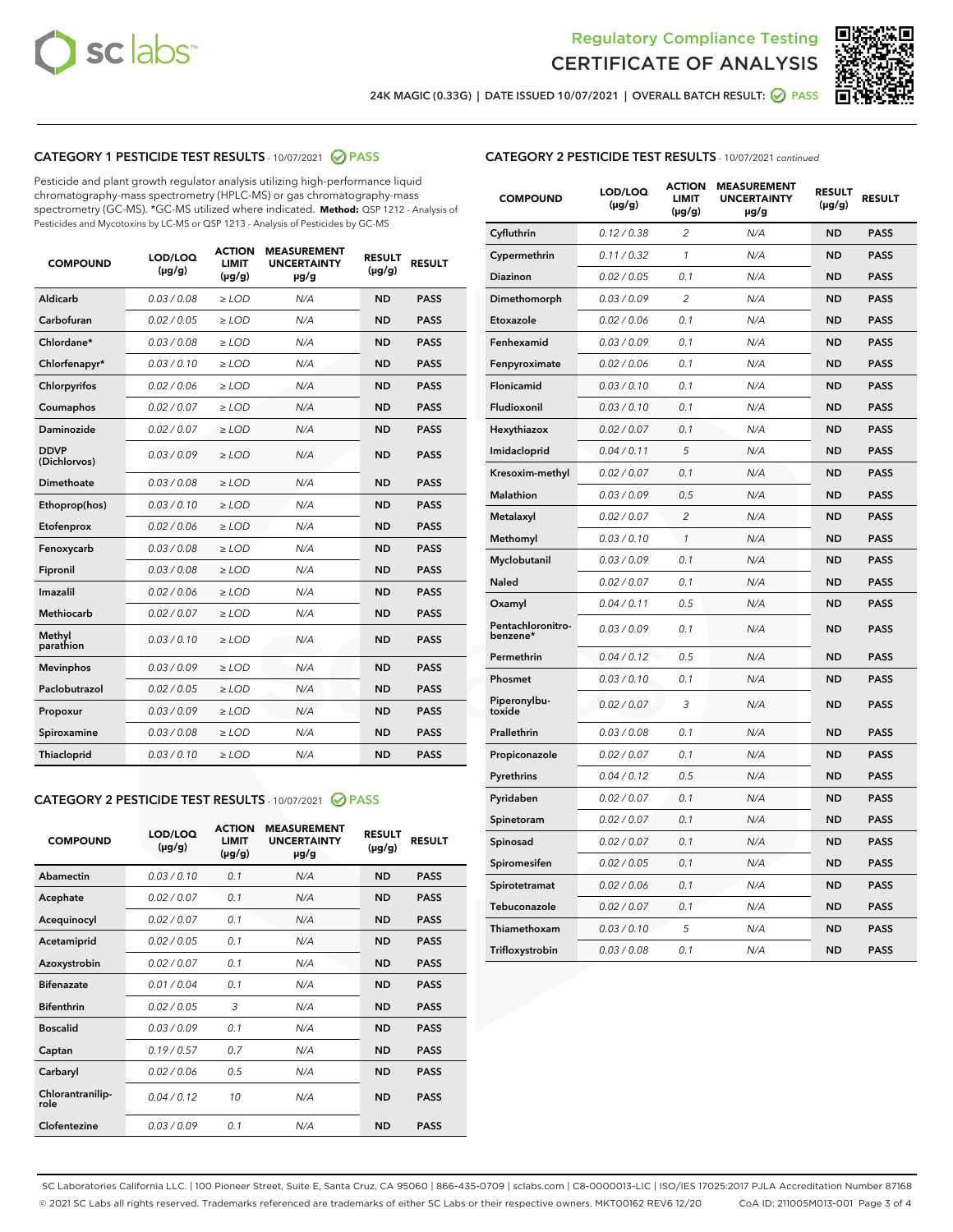



24K MAGIC (0.33G) | DATE ISSUED 10/07/2021 | OVERALL BATCH RESULT:  $\bigcirc$  PASS

# CATEGORY 1 PESTICIDE TEST RESULTS - 10/07/2021 2 PASS

Pesticide and plant growth regulator analysis utilizing high-performance liquid chromatography-mass spectrometry (HPLC-MS) or gas chromatography-mass spectrometry (GC-MS). \*GC-MS utilized where indicated. **Method:** QSP 1212 - Analysis of Pesticides and Mycotoxins by LC-MS or QSP 1213 - Analysis of Pesticides by GC-MS

| <b>COMPOUND</b>             | LOD/LOQ<br>$(\mu g/g)$ | <b>ACTION</b><br><b>LIMIT</b><br>$(\mu g/g)$ | <b>MEASUREMENT</b><br><b>UNCERTAINTY</b><br>$\mu$ g/g | <b>RESULT</b><br>$(\mu g/g)$ | <b>RESULT</b> |
|-----------------------------|------------------------|----------------------------------------------|-------------------------------------------------------|------------------------------|---------------|
| Aldicarb                    | 0.03/0.08              | $\ge$ LOD                                    | N/A                                                   | <b>ND</b>                    | <b>PASS</b>   |
| Carbofuran                  | 0.02 / 0.05            | $\ge$ LOD                                    | N/A                                                   | <b>ND</b>                    | <b>PASS</b>   |
| Chlordane*                  | 0.03 / 0.08            | $\ge$ LOD                                    | N/A                                                   | <b>ND</b>                    | <b>PASS</b>   |
| Chlorfenapyr*               | 0.03/0.10              | $\ge$ LOD                                    | N/A                                                   | <b>ND</b>                    | <b>PASS</b>   |
| Chlorpyrifos                | 0.02 / 0.06            | $\ge$ LOD                                    | N/A                                                   | <b>ND</b>                    | <b>PASS</b>   |
| Coumaphos                   | 0.02 / 0.07            | $\ge$ LOD                                    | N/A                                                   | <b>ND</b>                    | <b>PASS</b>   |
| Daminozide                  | 0.02 / 0.07            | $\ge$ LOD                                    | N/A                                                   | <b>ND</b>                    | <b>PASS</b>   |
| <b>DDVP</b><br>(Dichlorvos) | 0.03/0.09              | $>$ LOD                                      | N/A                                                   | <b>ND</b>                    | <b>PASS</b>   |
| Dimethoate                  | 0.03 / 0.08            | $\ge$ LOD                                    | N/A                                                   | <b>ND</b>                    | <b>PASS</b>   |
| Ethoprop(hos)               | 0.03/0.10              | $\ge$ LOD                                    | N/A                                                   | <b>ND</b>                    | <b>PASS</b>   |
| Etofenprox                  | 0.02/0.06              | $>$ LOD                                      | N/A                                                   | <b>ND</b>                    | <b>PASS</b>   |
| Fenoxycarb                  | 0.03/0.08              | $\ge$ LOD                                    | N/A                                                   | <b>ND</b>                    | <b>PASS</b>   |
| Fipronil                    | 0.03/0.08              | $>$ LOD                                      | N/A                                                   | <b>ND</b>                    | <b>PASS</b>   |
| Imazalil                    | 0.02 / 0.06            | $\ge$ LOD                                    | N/A                                                   | <b>ND</b>                    | <b>PASS</b>   |
| Methiocarb                  | 0.02 / 0.07            | $\ge$ LOD                                    | N/A                                                   | <b>ND</b>                    | <b>PASS</b>   |
| Methyl<br>parathion         | 0.03/0.10              | $>$ LOD                                      | N/A                                                   | <b>ND</b>                    | <b>PASS</b>   |
| <b>Mevinphos</b>            | 0.03/0.09              | $>$ LOD                                      | N/A                                                   | <b>ND</b>                    | <b>PASS</b>   |
| Paclobutrazol               | 0.02 / 0.05            | $\ge$ LOD                                    | N/A                                                   | <b>ND</b>                    | <b>PASS</b>   |
| Propoxur                    | 0.03/0.09              | $\ge$ LOD                                    | N/A                                                   | <b>ND</b>                    | <b>PASS</b>   |
| Spiroxamine                 | 0.03 / 0.08            | $\ge$ LOD                                    | N/A                                                   | <b>ND</b>                    | <b>PASS</b>   |
| Thiacloprid                 | 0.03/0.10              | $\ge$ LOD                                    | N/A                                                   | <b>ND</b>                    | <b>PASS</b>   |

#### CATEGORY 2 PESTICIDE TEST RESULTS - 10/07/2021 @ PASS

| <b>COMPOUND</b>          | LOD/LOO<br>$(\mu g/g)$ | <b>ACTION</b><br>LIMIT<br>$(\mu g/g)$ | <b>MEASUREMENT</b><br><b>UNCERTAINTY</b><br>$\mu$ g/g | <b>RESULT</b><br>$(\mu g/g)$ | <b>RESULT</b> |
|--------------------------|------------------------|---------------------------------------|-------------------------------------------------------|------------------------------|---------------|
| Abamectin                | 0.03/0.10              | 0.1                                   | N/A                                                   | <b>ND</b>                    | <b>PASS</b>   |
| Acephate                 | 0.02/0.07              | 0.1                                   | N/A                                                   | <b>ND</b>                    | <b>PASS</b>   |
| Acequinocyl              | 0.02/0.07              | 0.1                                   | N/A                                                   | <b>ND</b>                    | <b>PASS</b>   |
| Acetamiprid              | 0.02/0.05              | 0.1                                   | N/A                                                   | <b>ND</b>                    | <b>PASS</b>   |
| Azoxystrobin             | 0.02/0.07              | 0.1                                   | N/A                                                   | <b>ND</b>                    | <b>PASS</b>   |
| <b>Bifenazate</b>        | 0.01/0.04              | 0.1                                   | N/A                                                   | <b>ND</b>                    | <b>PASS</b>   |
| <b>Bifenthrin</b>        | 0.02/0.05              | 3                                     | N/A                                                   | <b>ND</b>                    | <b>PASS</b>   |
| <b>Boscalid</b>          | 0.03/0.09              | 0.1                                   | N/A                                                   | <b>ND</b>                    | <b>PASS</b>   |
| Captan                   | 0.19/0.57              | 0.7                                   | N/A                                                   | <b>ND</b>                    | <b>PASS</b>   |
| Carbaryl                 | 0.02/0.06              | 0.5                                   | N/A                                                   | <b>ND</b>                    | <b>PASS</b>   |
| Chlorantranilip-<br>role | 0.04/0.12              | 10                                    | N/A                                                   | <b>ND</b>                    | <b>PASS</b>   |
| Clofentezine             | 0.03/0.09              | 0.1                                   | N/A                                                   | <b>ND</b>                    | <b>PASS</b>   |

| <b>CATEGORY 2 PESTICIDE TEST RESULTS</b> - 10/07/2021 continued |  |
|-----------------------------------------------------------------|--|
|                                                                 |  |

| <b>COMPOUND</b>               | LOD/LOQ<br>$(\mu g/g)$ | <b>ACTION</b><br><b>LIMIT</b><br>$(\mu g/g)$ | <b>MEASUREMENT</b><br><b>UNCERTAINTY</b><br>µg/g | <b>RESULT</b><br>(µg/g) | <b>RESULT</b> |
|-------------------------------|------------------------|----------------------------------------------|--------------------------------------------------|-------------------------|---------------|
| Cyfluthrin                    | 0.12 / 0.38            | 2                                            | N/A                                              | ND                      | <b>PASS</b>   |
| Cypermethrin                  | 0.11 / 0.32            | 1                                            | N/A                                              | ND                      | <b>PASS</b>   |
| <b>Diazinon</b>               | 0.02 / 0.05            | 0.1                                          | N/A                                              | ND                      | <b>PASS</b>   |
| Dimethomorph                  | 0.03 / 0.09            | 2                                            | N/A                                              | <b>ND</b>               | <b>PASS</b>   |
| Etoxazole                     | 0.02 / 0.06            | 0.1                                          | N/A                                              | ND                      | <b>PASS</b>   |
| Fenhexamid                    | 0.03 / 0.09            | 0.1                                          | N/A                                              | ND                      | <b>PASS</b>   |
| Fenpyroximate                 | 0.02 / 0.06            | 0.1                                          | N/A                                              | ND                      | <b>PASS</b>   |
| Flonicamid                    | 0.03 / 0.10            | 0.1                                          | N/A                                              | ND                      | <b>PASS</b>   |
| Fludioxonil                   | 0.03 / 0.10            | 0.1                                          | N/A                                              | ND                      | <b>PASS</b>   |
| Hexythiazox                   | 0.02 / 0.07            | 0.1                                          | N/A                                              | ND                      | <b>PASS</b>   |
| Imidacloprid                  | 0.04 / 0.11            | 5                                            | N/A                                              | ND                      | <b>PASS</b>   |
| Kresoxim-methyl               | 0.02 / 0.07            | 0.1                                          | N/A                                              | ND                      | <b>PASS</b>   |
| Malathion                     | 0.03 / 0.09            | 0.5                                          | N/A                                              | <b>ND</b>               | <b>PASS</b>   |
| Metalaxyl                     | 0.02 / 0.07            | $\overline{c}$                               | N/A                                              | <b>ND</b>               | <b>PASS</b>   |
| Methomyl                      | 0.03 / 0.10            | 1                                            | N/A                                              | ND                      | <b>PASS</b>   |
| Myclobutanil                  | 0.03 / 0.09            | 0.1                                          | N/A                                              | <b>ND</b>               | <b>PASS</b>   |
| Naled                         | 0.02 / 0.07            | 0.1                                          | N/A                                              | <b>ND</b>               | <b>PASS</b>   |
| Oxamyl                        | 0.04 / 0.11            | 0.5                                          | N/A                                              | ND                      | PASS          |
| Pentachloronitro-<br>benzene* | 0.03 / 0.09            | 0.1                                          | N/A                                              | ND                      | <b>PASS</b>   |
| Permethrin                    | 0.04 / 0.12            | 0.5                                          | N/A                                              | <b>ND</b>               | <b>PASS</b>   |
| Phosmet                       | 0.03 / 0.10            | 0.1                                          | N/A                                              | ND                      | <b>PASS</b>   |
| Piperonylbu-<br>toxide        | 0.02 / 0.07            | 3                                            | N/A                                              | ND                      | <b>PASS</b>   |
| Prallethrin                   | 0.03 / 0.08            | 0.1                                          | N/A                                              | ND                      | <b>PASS</b>   |
| Propiconazole                 | 0.02 / 0.07            | 0.1                                          | N/A                                              | <b>ND</b>               | <b>PASS</b>   |
| Pyrethrins                    | 0.04 / 0.12            | 0.5                                          | N/A                                              | ND                      | <b>PASS</b>   |
| Pyridaben                     | 0.02 / 0.07            | 0.1                                          | N/A                                              | <b>ND</b>               | <b>PASS</b>   |
| Spinetoram                    | 0.02 / 0.07            | 0.1                                          | N/A                                              | <b>ND</b>               | <b>PASS</b>   |
| Spinosad                      | 0.02 / 0.07            | 0.1                                          | N/A                                              | ND                      | <b>PASS</b>   |
| Spiromesifen                  | 0.02 / 0.05            | 0.1                                          | N/A                                              | <b>ND</b>               | <b>PASS</b>   |
| Spirotetramat                 | 0.02 / 0.06            | 0.1                                          | N/A                                              | <b>ND</b>               | <b>PASS</b>   |
| Tebuconazole                  | 0.02 / 0.07            | 0.1                                          | N/A                                              | ND                      | <b>PASS</b>   |
| Thiamethoxam                  | 0.03 / 0.10            | 5                                            | N/A                                              | ND                      | <b>PASS</b>   |
| Trifloxystrobin               | 0.03 / 0.08            | 0.1                                          | N/A                                              | ND                      | <b>PASS</b>   |

SC Laboratories California LLC. | 100 Pioneer Street, Suite E, Santa Cruz, CA 95060 | 866-435-0709 | sclabs.com | C8-0000013-LIC | ISO/IES 17025:2017 PJLA Accreditation Number 87168 © 2021 SC Labs all rights reserved. Trademarks referenced are trademarks of either SC Labs or their respective owners. MKT00162 REV6 12/20 CoA ID: 211005M013-001 Page 3 of 4